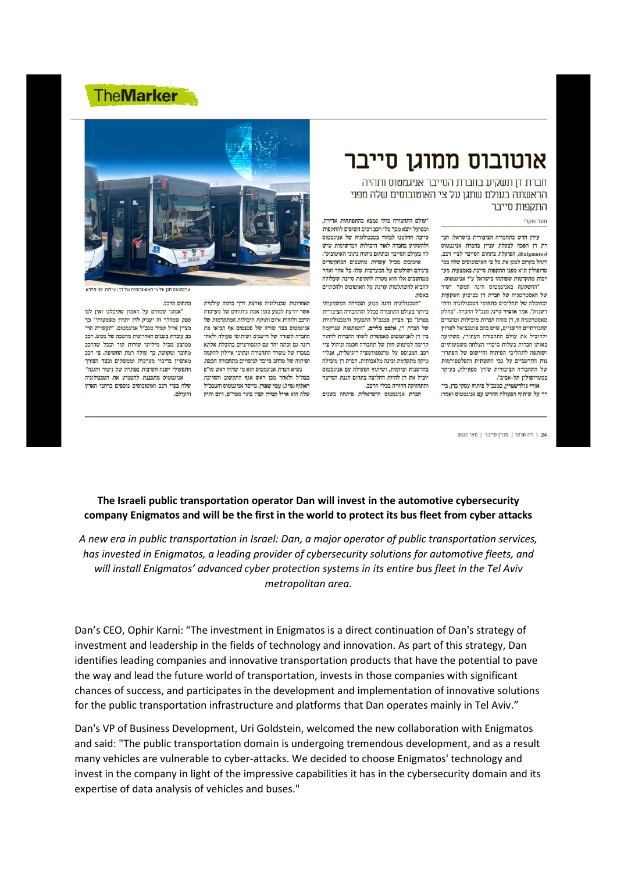## **TheMarker**

## אוטובוס ממוגן סייבר

חברת דן תשקיע בחברת הסייבר אניגמטוס ותהיה הראשונה בעולם שתגן על צי האוטובוסים שלה מפני התקפות סייבר

## סער שקדי

עירן חדש בתחבורה הציבורית בישראל: חב־ רת דו הפכה לבעלת ענייו בחברת אניגמטוס (Enigmatos), הפועלת בתחום הסייבר לציי רכב. ותחל בקרוב למגן את כל צי האוטובוסים שלה במ־ טרופוליז ת"א מפני התקפות סייבר. באמצעות מע־ רכות מתקדמות שפותחו בישראל ע"י אניגמטוס.

"ההשקעה באניגמטוס הינה המשך ישיר של האסטרטגיה של חברת דו בביצוע השקעות ובהובלה של תהליכים בתחומי הטכנולוגיה והח־ רשנות", אמר אופיר קרני, מנכ"ל החברה. "כחלק מאסטרטגיה זו, דן מזהה חברות מובילות ומוצרים תחבורתיים חדשניים, שיש בהם פוטנציאל לפרוץ ולהוביל את עולם התחבורה העתידי, משקיעה באותז חברות בעלות סיכויי הצלחה משמעותיים ושותפה לתהליכי הפיתוח והיישום של הפתרו־ נות החדשניים על גבי התשתית והפלטפורמות של התחבורה הציבורית ש'רן' מפעילה, בעיקר במטרופולין תל-אביב".

אורי גולדשטיין, סמנכ"ל פיתוח עסקי בדן, בי־ רד על שיתוף הפעולה החדש עם אניגמטוס ואמר:

24 | דה מרקר | מגזין סייבר | מאי 2021

"עולם התחבורה כולו נמצא בהתפתחות אדירה, וכפועל יוצא מכך כלי רכב רבים חשופים להתקפות סייבר. החלטנו לבחור בטכנולוגיה של אניגמטוס ולהשקיע בחברה לאור היכולות המרשימות שיש לה בעולם הסייבר ובתחום ניתוח נתוני האוטובוס". אוטובוס מכיל עשרות מחשבים המתקשרים ביניהם ושולטים על המערכות שלו. כל אחר ואחר ממחשבים אלו הוא מטרה לתקיפת סייבר, שעלולה להביא להשתלטות עוינת על האוטובוס ולהסתיים באסוז.

'הטכנולוגיה הינה מנוע הצמיחה המשמעותי ביותר בעולם התחבורה בכלל והתחבורה הציבורית בפרט" כך מציין סמנכ"ל התפעול והטכנולוגיות של חברת רן, אלכם מלייב, "השותפות שנרקמה בין דן לאניגמטוס מאפשרת לשתי החברות לדהור סדימה למימוש חזוז של תחבורה חכמה וניהול ציי רכב המבוסס על טרנספורמציה ריגיטלית, אנלי־ טיקה מתקדמת ובינה מלאכותית. חברת דן מובילה בחדשנות וביזמות, ושיתוף הפעולה עם אניגמטוס יוביל את רן להיות החלוצה בתחום הגנת הסייבר והתחזוקה החזויה בכלי הרכב.

חברת אניגמטוס הישראלית פיתחה בשנים



.<br>וניגמטוס תגו על צי האוטובוסים של דו I צילום: יוני מלנ

בתחום הרכב.

והעולם.

האחרונות טכנולוגיה פורצת דרד ברמה עולמית אשר יודעת לבצע בזמן אמת ניתוחים של מערכות הרכב ולזהות איום ותוקף. היכולות המתקדמות של אניגמטוס בצד שורה של פטנטים אף הביאו את החברה לשורה של הישגים ושיתופי פעולה ולאח־ רונה גם זכתה יחד עם קונסורציום בהובלת אלתא במכרז של משרד התחבורה ונתיבי איילוז להקמה ופיתוח של מרחב סייבר לניסויים בתחבורה חכמה. נשיא חברת אניגמטוס הוא מי שהיה ראש מו"פ בצה"ל ולאחר מכן ראש אגף התקשוב והסייבר, האלוף (מיל.) עמי שפרן. מייסד אניגמטוס והמנכ"ל שלה הוא אייל קמיר. קציו בוגר ממר"ם. ויזם ותיק

"אנחנו שמחים על האמון שקיבלנו ואין לנו ספק שמהלך זה יעניק לדן יתרון משמעותי" כך מציין אייל קמיר מנכ"ל אניגמטוס. "תעשיית הר־ כב עוברת בשנים האחרונות מהפכה של ממש. רכב ממוצע מכיל מיליוני שורות קוד וככל שהרכב מחובר ומקושר. כד עולה רמת החשיפה. צי רכב מאופיין בריבוי מערכות וממשקים ובצד הצורך התפעולי ישנה חשיבות בפתרון של ניטור והגנה" אניגמטוס מתכננת להטמיע את הטכנולוגיה שלה בציי רכב ואוטובוסים נוספים ברחבי הארץ

## The Israeli public transportation operator Dan will invest in the automotive cybersecurity company Enigmatos and will be the first in the world to protect its bus fleet from cyber attacks

A new era in public transportation in Israel: Dan, a major operator of public transportation services, has invested in Enigmatos, a leading provider of cybersecurity solutions for automotive fleets, and will install Enigmatos' advanced cyber protection systems in its entire bus fleet in the Tel Aviv metropolitan area.

Dan's CEO, Ophir Karni: "The investment in Enigmatos is a direct continuation of Dan's strategy of investment and leadership in the fields of technology and innovation. As part of this strategy, Dan identifies leading companies and innovative transportation products that have the potential to pave the way and lead the future world of transportation, invests in those companies with significant chances of success, and participates in the development and implementation of innovative solutions for the public transportation infrastructure and platforms that Dan operates mainly in Tel Aviv."

Dan's VP of Business Development, Uri Goldstein, welcomed the new collaboration with Enigmatos and said: "The public transportation domain is undergoing tremendous development, and as a result many vehicles are vulnerable to cyber-attacks. We decided to choose Enigmatos' technology and invest in the company in light of the impressive capabilities it has in the cybersecurity domain and its expertise of data analysis of vehicles and buses."